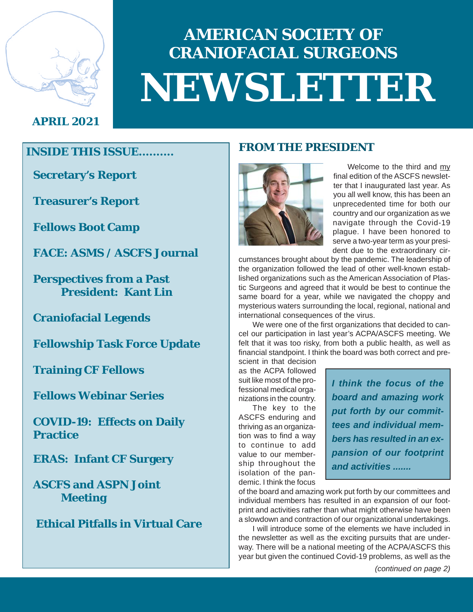

# **AMERICAN SOCIETY OF CRANIOFACIAL SURGEONS NEWSLETTER**

### **APRIL 2021**

**Secretary's Report**

**Treasurer's Report**

**Fellows Boot Camp**

**FACE: ASMS / ASCFS Journal**

**Perspectives from a Past President: Kant Lin**

**Craniofacial Legends**

**Fellowship Task Force Update**

**Training CF Fellows**

**Fellows Webinar Series**

**COVID-19: Effects on Daily Practice**

**ERAS: Infant CF Surgery**

**ASCFS and ASPN Joint Meeting**

 **Ethical Pitfalls in Virtual Care**

### **FROM THE PRESIDENT**



Welcome to the third and my final edition of the ASCFS newsletter that I inaugurated last year. As you all well know, this has been an unprecedented time for both our country and our organization as we navigate through the Covid-19 plague. I have been honored to serve a two-year term as your president due to the extraordinary cir-

cumstances brought about by the pandemic. The leadership of the organization followed the lead of other well-known established organizations such as the American Association of Plastic Surgeons and agreed that it would be best to continue the same board for a year, while we navigated the choppy and mysterious waters surrounding the local, regional, national and international consequences of the virus.

We were one of the first organizations that decided to cancel our participation in last year's ACPA/ASCFS meeting. We felt that it was too risky, from both a public health, as well as financial standpoint. I think the board was both correct and pre-

scient in that decision as the ACPA followed suit like most of the professional medical organizations in the country.

The key to the ASCFS enduring and thriving as an organization was to find a way to continue to add value to our membership throughout the isolation of the pandemic. I think the focus

*I think the focus of the board and amazing work put forth by our committees and individual members has resulted in an expansion of our footprint and activities .......*

of the board and amazing work put forth by our committees and individual members has resulted in an expansion of our footprint and activities rather than what might otherwise have been a slowdown and contraction of our organizational undertakings.

I will introduce some of the elements we have included in the newsletter as well as the exciting pursuits that are underway. There will be a national meeting of the ACPA/ASCFS this year but given the continued Covid-19 problems, as well as the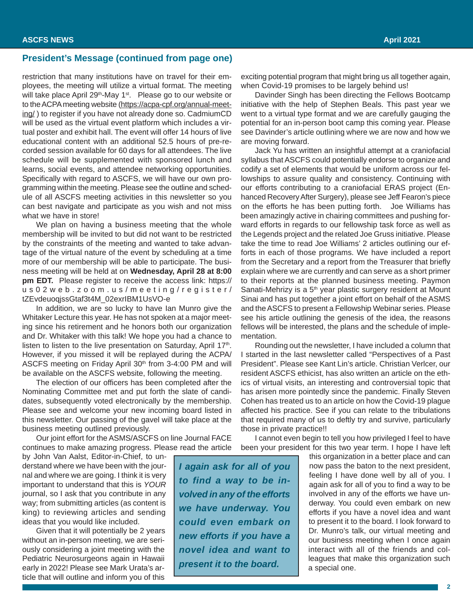#### **President's Message (continued from page one)**

restriction that many institutions have on travel for their employees, the meeting will utilize a virtual format. The meeting will take place April 29<sup>th</sup>-May 1<sup>st</sup>. Please go to our website or to the ACPA meeting website (https://acpa-cpf.org/annual-meeting/) to register if you have not already done so. CadmiumCD will be used as the virtual event platform which includes a virtual poster and exhibit hall. The event will offer 14 hours of live educational content with an additional 52.5 hours of pre-recorded session available for 60 days for all attendees. The live schedule will be supplemented with sponsored lunch and learns, social events, and attendee networking opportunities. Specifically with regard to ASCFS, we will have our own programming within the meeting. Please see the outline and schedule of all ASCFS meeting activities in this newsletter so you can best navigate and participate as you wish and not miss what we have in store!

We plan on having a business meeting that the whole membership will be invited to but did not want to be restricted by the constraints of the meeting and wanted to take advantage of the virtual nature of the event by scheduling at a time more of our membership will be able to participate. The business meeting will be held at on **Wednesday, April 28 at 8:00 pm EDT.** Please register to receive the access link: https:// us02web.zoom.us/meeting/register/ tZEvdeuoqjssGtaf3t4M\_02exrIBM1UsVO-e

In addition, we are so lucky to have Ian Munro give the Whitaker Lecture this year. He has not spoken at a major meeting since his retirement and he honors both our organization and Dr. Whitaker with this talk! We hope you had a chance to listen to listen to the live presentation on Saturday, April 17<sup>th</sup>. However, if you missed it will be replayed during the ACPA/ ASCFS meeting on Friday April 30<sup>th</sup> from 3-4:00 PM and will be available on the ASCFS website, following the meeting.

The election of our officers has been completed after the Nominating Committee met and put forth the slate of candidates, subsequently voted electronically by the membership. Please see and welcome your new incoming board listed in this newsletter. Our passing of the gavel will take place at the business meeting outlined previously.

Our joint effort for the ASMS/ASCFS on line Journal FACE continues to make amazing progress. Please read the article

by John Van Aalst, Editor-in-Chief, to understand where we have been with the journal and where we are going. I think it is very important to understand that this is *YOUR* journal, so I ask that you contribute in any way; from submitting articles (as content is king) to reviewing articles and sending ideas that you would like included.

Given that it will potentially be 2 years without an in-person meeting, we are seriously considering a joint meeting with the Pediatric Neurosurgeons again in Hawaii early in 2022! Please see Mark Urata's article that will outline and inform you of this

*I again ask for all of you to find a way to be involved in any of the efforts we have underway. You could even embark on new efforts if you have a novel idea and want to present it to the board.*

exciting potential program that might bring us all together again, when Covid-19 promises to be largely behind us!

Davinder Singh has been directing the Fellows Bootcamp initiative with the help of Stephen Beals. This past year we went to a virtual type format and we are carefully gauging the potential for an in-person boot camp this coming year. Please see Davinder's article outlining where we are now and how we are moving forward.

Jack Yu has written an insightful attempt at a craniofacial syllabus that ASCFS could potentially endorse to organize and codify a set of elements that would be uniform across our fellowships to assure quality and consistency. Continuing with our efforts contributing to a craniofacial ERAS project (Enhanced Recovery After Surgery), please see Jeff Fearon's piece on the efforts he has been putting forth. Joe Williams has been amazingly active in chairing committees and pushing forward efforts in regards to our fellowship task force as well as the Legends project and the related Joe Gruss initiative. Please take the time to read Joe Williams' 2 articles outlining our efforts in each of those programs. We have included a report from the Secretary and a report from the Treasurer that briefly explain where we are currently and can serve as a short primer to their reports at the planned business meeting. Paymon Sanati-Mehrizy is a 5<sup>th</sup> year plastic surgery resident at Mount Sinai and has put together a joint effort on behalf of the ASMS and the ASCFS to present a Fellowship Webinar series. Please see his article outlining the genesis of the idea, the reasons fellows will be interested, the plans and the schedule of implementation.

Rounding out the newsletter, I have included a column that I started in the last newsletter called "Perspectives of a Past President". Please see Kant Lin's article. Christian Verlcer, our resident ASCFS ethicist, has also written an article on the ethics of virtual visits, an interesting and controversial topic that has arisen more pointedly since the pandemic. Finally Steven Cohen has treated us to an article on how the Covid-19 plague affected his practice. See if you can relate to the tribulations that required many of us to deftly try and survive, particularly those in private practice!!

I cannot even begin to tell you how privileged I feel to have been your president for this two year term. I hope I have left

> this organization in a better place and can now pass the baton to the next president, feeling I have done well by all of you. I again ask for all of you to find a way to be involved in any of the efforts we have underway. You could even embark on new efforts if you have a novel idea and want to present it to the board. I look forward to Dr. Munro's talk, our virtual meeting and our business meeting when I once again interact with all of the friends and colleagues that make this organization such a special one.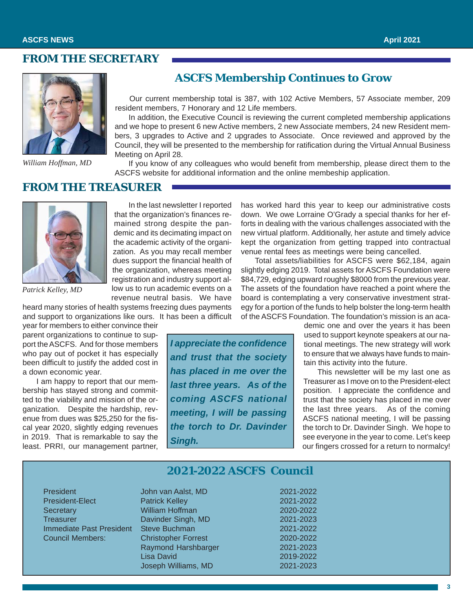### **FROM THE SECRETARY**



*William Hoffman, MD*

### **ASCFS Membership Continues to Grow**

Our current membership total is 387, with 102 Active Members, 57 Associate member, 209 resident members, 7 Honorary and 12 Life members.

In addition, the Executive Council is reviewing the current completed membership applications and we hope to present 6 new Active members, 2 new Associate members, 24 new Resident members, 3 upgrades to Active and 2 upgrades to Associate. Once reviewed and approved by the Council, they will be presented to the membership for ratification during the Virtual Annual Business Meeting on April 28.

If you know of any colleagues who would benefit from membership, please direct them to the ASCFS website for additional information and the online membeship application.

#### **FROM THE TREASURER**



*Patrick Kelley, MD*

In the last newsletter I reported that the organization's finances remained strong despite the pandemic and its decimating impact on the academic activity of the organization. As you may recall member dues support the financial health of the organization, whereas meeting registration and industry support allow us to run academic events on a revenue neutral basis. We have

heard many stories of health systems freezing dues payments and support to organizations like ours. It has been a difficult year for members to either convince their

parent organizations to continue to support the ASCFS. And for those members who pay out of pocket it has especially been difficult to justify the added cost in a down economic year.

I am happy to report that our membership has stayed strong and committed to the viability and mission of the organization. Despite the hardship, revenue from dues was \$25,250 for the fiscal year 2020, slightly edging revenues in 2019. That is remarkable to say the least. PRRI, our management partner, *I appreciate the confidence and trust that the society has placed in me over the last three years. As of the coming ASCFS national meeting, I will be passing the torch to Dr. Davinder Singh.*

has worked hard this year to keep our administrative costs down. We owe Lorraine O'Grady a special thanks for her efforts in dealing with the various challenges associated with the new virtual platform. Additionally, her astute and timely advice kept the organization from getting trapped into contractual venue rental fees as meetings were being cancelled.

Total assets/liabilities for ASCFS were \$62,184, again slightly edging 2019. Total assets for ASCFS Foundation were \$84,729, edging upward roughly \$8000 from the previous year. The assets of the foundation have reached a point where the board is contemplating a very conservative investment strategy for a portion of the funds to help bolster the long-term health of the ASCFS Foundation. The foundation's mission is an aca-

> demic one and over the years it has been used to support keynote speakers at our national meetings. The new strategy will work to ensure that we always have funds to maintain this activity into the future.

> This newsletter will be my last one as Treasurer as I move on to the President-elect position. I appreciate the confidence and trust that the society has placed in me over the last three years. As of the coming ASCFS national meeting, I will be passing the torch to Dr. Davinder Singh. We hope to see everyone in the year to come. Let's keep our fingers crossed for a return to normalcy!

|                                 | <b>2021-2022 ASCFS Council</b> |           |  |
|---------------------------------|--------------------------------|-----------|--|
| President                       | John van Aalst, MD             | 2021-2022 |  |
| President-Elect                 | <b>Patrick Kelley</b>          | 2021-2022 |  |
| Secretary                       | William Hoffman                | 2020-2022 |  |
| <b>Treasurer</b>                | Davinder Singh, MD             | 2021-2023 |  |
| <b>Immediate Past President</b> | Steve Buchman                  | 2021-2022 |  |
| <b>Council Members:</b>         | <b>Christopher Forrest</b>     | 2020-2022 |  |
|                                 | Raymond Harshbarger            | 2021-2023 |  |
|                                 | Lisa David                     | 2019-2022 |  |
|                                 | Joseph Williams, MD            | 2021-2023 |  |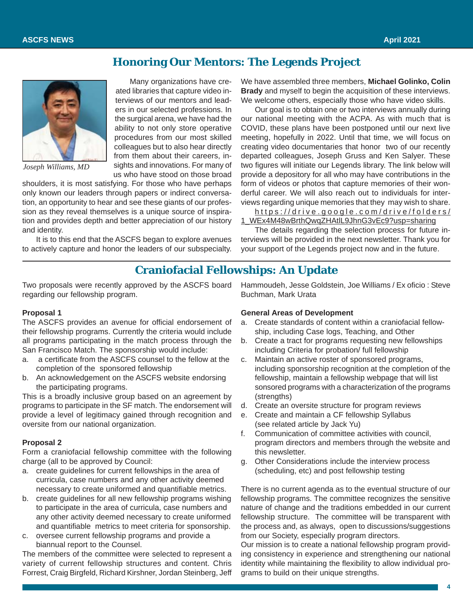### **Honoring Our Mentors: The Legends Project**



*Joseph Williams, MD*

Many organizations have created libraries that capture video interviews of our mentors and leaders in our selected professions. In the surgical arena, we have had the ability to not only store operative procedures from our most skilled colleagues but to also hear directly from them about their careers, insights and innovations. For many of us who have stood on those broad

shoulders, it is most satisfying. For those who have perhaps only known our leaders through papers or indirect conversation, an opportunity to hear and see these giants of our profession as they reveal themselves is a unique source of inspiration and provides depth and better appreciation of our history and identity.

It is to this end that the ASCFS began to explore avenues to actively capture and honor the leaders of our subspecialty.

We have assembled three members, **Michael Golinko, Colin Brady** and myself to begin the acquisition of these interviews. We welcome others, especially those who have video skills.

Our goal is to obtain one or two interviews annually during our national meeting with the ACPA. As with much that is COVID, these plans have been postponed until our next live meeting, hopefully in 2022. Until that time, we will focus on creating video documentaries that honor two of our recently departed colleagues, Joseph Gruss and Ken Salyer. These two figures will initiate our Legends library. The link below will provide a depository for all who may have contributions in the form of videos or photos that capture memories of their wonderful career. We will also reach out to individuals for interviews regarding unique memories that they may wish to share.

http s://drive.google.com/drive/folders/ 1\_WEx4M48wBrthQwqZHAtlL9JhnG3vEc9?usp=sharing

The details regarding the selection process for future interviews will be provided in the next newsletter. Thank you for your support of the Legends project now and in the future.

### **Craniofacial Fellowships: An Update**

Two proposals were recently approved by the ASCFS board regarding our fellowship program.

#### **Proposal 1**

The ASCFS provides an avenue for official endorsement of their fellowship programs. Currently the criteria would include all programs participating in the match process through the San Francisco Match. The sponsorship would include:

- a. a certificate from the ASCFS counsel to the fellow at the completion of the sponsored fellowship
- b. An acknowledgement on the ASCFS website endorsing the participating programs.

This is a broadly inclusive group based on an agreement by programs to participate in the SF match. The endorsement will provide a level of legitimacy gained through recognition and oversite from our national organization.

#### **Proposal 2**

Form a craniofacial fellowship committee with the following charge (all to be approved by Council:

- a. create guidelines for current fellowships in the area of curricula, case numbers and any other activity deemed necessary to create uniformed and quantifiable metrics.
- b. create guidelines for all new fellowship programs wishing to participate in the area of curricula, case numbers and any other activity deemed necessary to create uniformed and quantifiable metrics to meet criteria for sponsorship.
- c. oversee current fellowship programs and provide a biannual report to the Counsel.

The members of the committee were selected to represent a variety of current fellowship structures and content. Chris Forrest, Craig Birgfeld, Richard Kirshner, Jordan Steinberg, Jeff Hammoudeh, Jesse Goldstein, Joe Williams / Ex oficio : Steve Buchman, Mark Urata

#### **General Areas of Development**

- a. Create standards of content within a craniofacial fellowship, including Case logs, Teaching, and Other
- b. Create a tract for programs requesting new fellowships including Criteria for probation/ full fellowship
- c. Maintain an active roster of sponsored programs, including sponsorship recognition at the completion of the fellowship, maintain a fellowship webpage that will list sonsored programs with a characterization of the programs (strengths)
- d. Create an oversite structure for program reviews
- e. Create and maintain a CF fellowship Syllabus (see related article by Jack Yu)
- f. Communication of committee activities with council, program directors and members through the website and this newsletter.
- g. Other Considerations include the interview process (scheduling, etc) and post fellowship testing

There is no current agenda as to the eventual structure of our fellowship programs. The committee recognizes the sensitive nature of change and the traditions embedded in our current fellowship structure. The committee will be transparent with the process and, as always, open to discussions/suggestions from our Society, especially program directors.

Our mission is to create a national fellowship program providing consistency in experience and strengthening our national identity while maintaining the flexibility to allow individual programs to build on their unique strengths.

**4**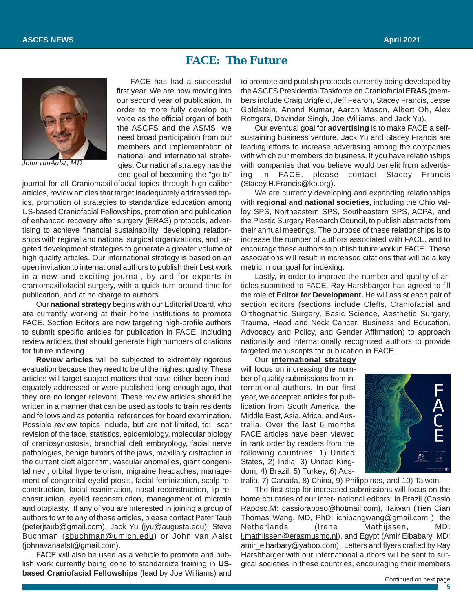### **FACE: The Future**



*John vanAalst, MD*

FACE has had a successful first year. We are now moving into our second year of publication. In order to more fully develop our voice as the official organ of both the ASCFS and the ASMS, we need broad participation from our members and implementation of national and international strategies. Our national strategy has the end-goal of becoming the "go-to"

journal for all Craniomaxillofacial topics through high-caliber articles, review articles that target inadequately addressed topics, promotion of strategies to standardize education among US-based Craniofacial Fellowships, promotion and publication of enhanced recovery after surgery (ERAS) protocols, advertising to achieve financial sustainability, developing relationships with reginal and national surgical organizations, and targeted development strategies to generate a greater volume of high quality articles. Our international strategy is based on an open invitation to international authors to publish their best work in a new and exciting journal, by and for experts in craniomaxillofacial surgery, with a quick turn-around time for publication, and at no charge to authors.

Our **national strategy** begins with our Editorial Board, who are currently working at their home institutions to promote FACE. Section Editors are now targeting high-profile authors to submit specific articles for publication in FACE, including review articles, that should generate high numbers of citations for future indexing.

**Review articles** will be subjected to extremely rigorous evaluation because they need to be of the highest quality. These articles will target subject matters that have either been inadequately addressed or were published long-enough ago, that they are no longer relevant. These review articles should be written in a manner that can be used as tools to train residents and fellows and as potential references for board examination. Possible review topics include, but are not limited, to: scar revision of the face, statistics, epidemiology, molecular biology of craniosynostosis, branchial cleft embryology, facial nerve pathologies, benign tumors of the jaws, maxillary distraction in the current cleft algorithm, vascular anomalies, giant congenital nevi, orbital hypertelorism, migraine headaches, management of congenital eyelid ptosis, facial feminization, scalp reconstruction, facial reanimation, nasal reconstruction, lip reconstruction, eyelid reconstruction, management of microtia and otoplasty. If any of you are interested in joining a group of authors to write any of these articles, please contact Peter Taub (peterjtaub@gmail.com), Jack Yu (jyu@augusta.edu), Steve Buchman (sbuchman@umich.edu) or John van Aalst (johnavanaalst@gmail.com).

FACE will also be used as a vehicle to promote and publish work currently being done to standardize training in **USbased Craniofacial Fellowships** (lead by Joe Williams) and Continued on next page Continued on next page

to promote and publish protocols currently being developed by the ASCFS Presidential Taskforce on Craniofacial **ERAS** (members include Craig Brigfeld, Jeff Fearon, Stacey Francis, Jesse Goldstein, Anand Kumar, Aaron Mason, Albert Oh, Alex Rottgers, Davinder Singh, Joe Williams, and Jack Yu).

Our eventual goal for **advertising** is to make FACE a selfsustaining business venture. Jack Yu and Stacey Francis are leading efforts to increase advertising among the companies with which our members do business. If you have relationships with companies that you believe would benefit from advertising in FACE, please contact Stacey Francis (Stacey.H.Francis@kp.org).

We are currently developing and expanding relationships with **regional and national societies**, including the Ohio Valley SPS, Northeastern SPS, Southeastern SPS, ACPA, and the Plastic Surgery Research Council, to publish abstracts from their annual meetings. The purpose of these relationships is to increase the number of authors associated with FACE, and to encourage these authors to publish future work in FACE. These associations will result in increased citations that will be a key metric in our goal for indexing.

Lastly, in order to improve the number and quality of articles submitted to FACE, Ray Harshbarger has agreed to fill the role of **Editor for Development.** He will assist each pair of section editors (sections include Clefts, Craniofacial and Orthognathic Surgery, Basic Science, Aesthetic Surgery, Trauma, Head and Neck Cancer, Business and Education, Advocacy and Policy, and Gender Affirmation) to approach nationally and internationally recognized authors to provide targeted manuscripts for publication in FACE.

Our **international strategy** will focus on increasing the number of quality submissions from international authors. In our first year, we accepted articles for publication from South America, the Middle East, Asia, Africa, and Australia. Over the last 6 months FACE articles have been viewed in rank order by readers from the following countries: 1) United States, 2) India, 3) United Kingdom, 4) Brazil, 5) Turkey, 6) Aus-



tralia, 7) Canada, 8) China, 9) Philippines, and 10) Taiwan.

The first step for increased submissions will focus on the home countries of our inter- national editors: in Brazil (Cassio Raposo, M: cassioraposo@hotmail.com), Taiwan (Tien Cian Thomas Wang, MD, PhD: ichibangwang@gmail.com ), the Netherlands (Irene Mathijssen, MD: i.mathijssen@erasmusmc.nl), and Egypt (Amir Elbabary, MD: amir\_elbarbary@yahoo.com). Letters and flyers crafted by Ray Harshbarger with our international authors will be sent to surgical societies in these countries, encouraging their members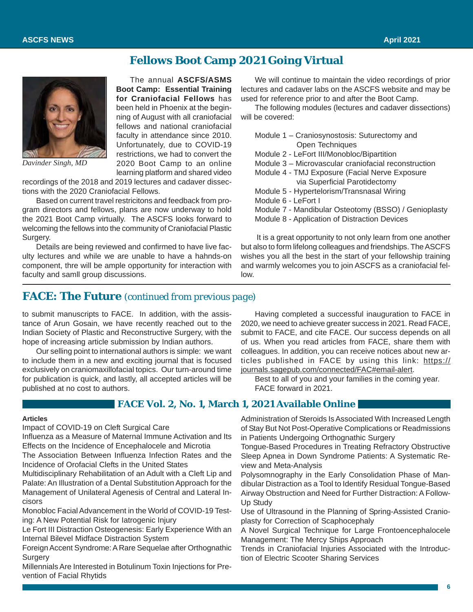### **Fellows Boot Camp 2021 Going Virtual**



*Davinder Singh, MD*

The annual **ASCFS/ASMS Boot Camp: Essential Training for Craniofacial Fellows** has been held in Phoenix at the beginning of August with all craniofacial fellows and national craniofacial faculty in attendance since 2010. Unfortunately, due to COVID-19 restrictions, we had to convert the 2020 Boot Camp to an online learning platform and shared video

recordings of the 2018 and 2019 lectures and cadaver dissections with the 2020 Craniofacial Fellows.

Based on current travel restricitons and feedback from program directors and fellows, plans are now underway to hold the 2021 Boot Camp virtually. The ASCFS looks forward to welcoming the fellows into the community of Craniofacial Plastic Surgery.

Details are being reviewed and confirmed to have live faculty lectures and while we are unable to have a hahnds-on component, thre will be ample opportunity for interaction with faculty and samll group discussions.

We will continue to maintain the video recordings of prior lectures and cadaver labs on the ASCFS website and may be used for reference prior to and after the Boot Camp.

The following modules (lectures and cadaver dissections) will be covered:

| Module 1 - Craniosynostosis: Suturectomy and         |
|------------------------------------------------------|
| Open Techniques                                      |
| Module 2 - LeFort III/Monobloc/Bipartition           |
| Module 3 - Microvascular craniofacial reconstruction |
| Module 4 - TMJ Exposure (Facial Nerve Exposure       |
| via Superficial Parotidectomy                        |
| Module 5 - Hypertelorism/Transnasal Wiring           |
| Module 6 - LeFort I                                  |
| Module 7 - Mandibular Osteotomy (BSSO) / Genioplasty |
| Module 8 - Application of Distraction Devices        |
|                                                      |

 It is a great opportunity to not only learn from one another but also to form lifelong colleagues and friendships. The ASCFS wishes you all the best in the start of your fellowship training and warmly welcomes you to join ASCFS as a craniofacial fellow.

### **FACE: The Future** *(continued from previous page)*

to submit manuscripts to FACE. In addition, with the assistance of Arun Gosain, we have recently reached out to the Indian Society of Plastic and Reconstructive Surgery, with the hope of increasing article submission by Indian authors.

Our selling point to international authors is simple: we want to include them in a new and exciting journal that is focused exclusively on craniomaxillofacial topics. Our turn-around time for publication is quick, and lastly, all accepted articles will be published at no cost to authors.

Having completed a successful inauguration to FACE in 2020, we need to achieve greater success in 2021. Read FACE, submit to FACE, and cite FACE. Our success depends on all of us. When you read articles from FACE, share them with colleagues. In addition, you can receive notices about new articles published in FACE by using this link: https:// journals.sagepub.com/connected/FAC#email-alert.

Best to all of you and your families in the coming year. FACE forward in 2021.

#### **FACE Vol. 2, No. 1, March 1, 2021 Available Online**

#### **Articles**

Impact of COVID-19 on Cleft Surgical Care

Influenza as a Measure of Maternal Immune Activation and Its Effects on the Incidence of Encephalocele and Microtia

The Association Between Influenza Infection Rates and the Incidence of Orofacial Clefts in the United States

Multidisciplinary Rehabilitation of an Adult with a Cleft Lip and Palate: An Illustration of a Dental Substitution Approach for the Management of Unilateral Agenesis of Central and Lateral Incisors

Monobloc Facial Advancement in the World of COVID-19 Testing: A New Potential Risk for Iatrogenic Injury

Le Fort III Distraction Osteogenesis: Early Experience With an Internal Bilevel Midface Distraction System

Foreign Accent Syndrome: A Rare Sequelae after Orthognathic **Surgery** 

Millennials Are Interested in Botulinum Toxin Injections for Prevention of Facial Rhytids

Administration of Steroids Is Associated With Increased Length of Stay But Not Post-Operative Complications or Readmissions in Patients Undergoing Orthognathic Surgery

Tongue-Based Procedures in Treating Refractory Obstructive Sleep Apnea in Down Syndrome Patients: A Systematic Review and Meta-Analysis

Polysomnography in the Early Consolidation Phase of Mandibular Distraction as a Tool to Identify Residual Tongue-Based Airway Obstruction and Need for Further Distraction: A Follow-Up Study

Use of Ultrasound in the Planning of Spring-Assisted Cranioplasty for Correction of Scaphocephaly

A Novel Surgical Technique for Large Frontoencephalocele Management: The Mercy Ships Approach

Trends in Craniofacial Injuries Associated with the Introduction of Electric Scooter Sharing Services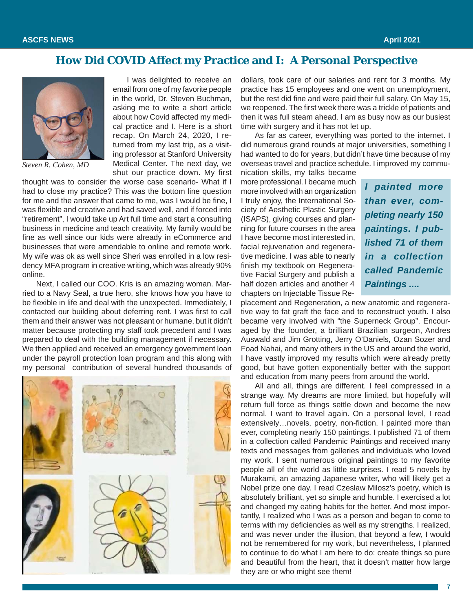### **How Did COVID Affect my Practice and I: A Personal Perspective**



*Steven R. Cohen, MD*

I was delighted to receive an email from one of my favorite people in the world, Dr. Steven Buchman, asking me to write a short article about how Covid affected my medical practice and I. Here is a short recap. On March 24, 2020, I returned from my last trip, as a visiting professor at Stanford University Medical Center. The next day, we shut our practice down. My first

thought was to consider the worse case scenario- What if I had to close my practice? This was the bottom line question for me and the answer that came to me, was I would be fine, I was flexible and creative and had saved well, and if forced into "retirement", I would take up Art full time and start a consulting business in medicine and teach creativity. My family would be fine as well since our kids were already in eCommerce and businesses that were amendable to online and remote work. My wife was ok as well since Sheri was enrolled in a low residency MFA program in creative writing, which was already 90% online.

Next, I called our COO. Kris is an amazing woman. Married to a Navy Seal, a true hero, she knows how you have to be flexible in life and deal with the unexpected. Immediately, I contacted our building about deferring rent. I was first to call them and their answer was not pleasant or humane, but it didn't matter because protecting my staff took precedent and I was prepared to deal with the building management if necessary. We then applied and received an emergency government loan under the payroll protection loan program and this along with my personal contribution of several hundred thousands of



dollars, took care of our salaries and rent for 3 months. My practice has 15 employees and one went on unemployment, but the rest did fine and were paid their full salary. On May 15, we reopened. The first week there was a trickle of patients and then it was full steam ahead. I am as busy now as our busiest time with surgery and it has not let up.

As far as career, everything was ported to the internet. I did numerous grand rounds at major universities, something I had wanted to do for years, but didn't have time because of my overseas travel and practice schedule. I improved my commu-

nication skills, my talks became more professional. I became much more involved with an organization I truly enjoy, the International Society of Aesthetic Plastic Surgery (ISAPS), giving courses and planning for future courses in the area I have become most interested in, facial rejuvenation and regenerative medicine. I was able to nearly finish my textbook on Regenerative Facial Surgery and publish a half dozen articles and another 4 chapters on Injectable Tissue Re-

*I painted more than ever, completing nearly 150 paintings. I published 71 of them in a collection called Pandemic Paintings ....*

placement and Regeneration, a new anatomic and regenerative way to fat graft the face and to reconstruct youth. I also became very involved with "the Superneck Group". Encouraged by the founder, a brilliant Brazilian surgeon, Andres Auswald and Jim Grotting, Jerry O'Daniels, Ozan Sozer and Foad Nahai, and many others in the US and around the world, I have vastly improved my results which were already pretty good, but have gotten exponentially better with the support and education from many peers from around the world.

All and all, things are different. I feel compressed in a strange way. My dreams are more limited, but hopefully will return full force as things settle down and become the new normal. I want to travel again. On a personal level, I read extensively…novels, poetry, non-fiction. I painted more than ever, completing nearly 150 paintings. I published 71 of them in a collection called Pandemic Paintings and received many texts and messages from galleries and individuals who loved my work. I sent numerous original paintings to my favorite people all of the world as little surprises. I read 5 novels by Murakami, an amazing Japanese writer, who will likely get a Nobel prize one day. I read Czeslaw Milosz's poetry, which is absolutely brilliant, yet so simple and humble. I exercised a lot and changed my eating habits for the better. And most importantly, I realized who I was as a person and began to come to terms with my deficiencies as well as my strengths. I realized, and was never under the illusion, that beyond a few, I would not be remembered for my work, but nevertheless, I planned to continue to do what I am here to do: create things so pure and beautiful from the heart, that it doesn't matter how large they are or who might see them!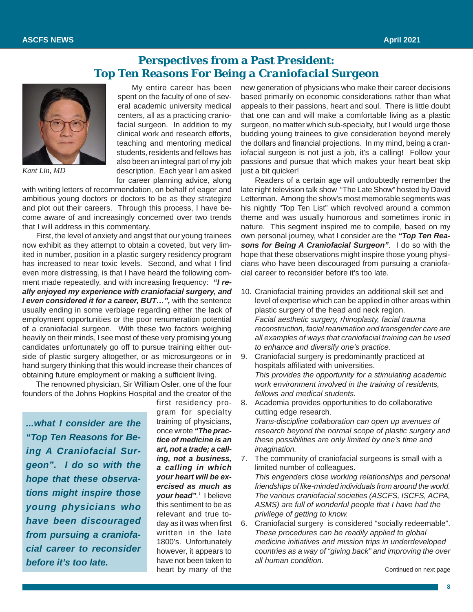### **Perspectives from a Past President:** *Top Ten Reasons For Being a Craniofacial Surgeon*



*Kant Lin, MD*

My entire career has been spent on the faculty of one of several academic university medical centers, all as a practicing craniofacial surgeon. In addition to my clinical work and research efforts, teaching and mentoring medical students, residents and fellows has also been an integral part of my job description. Each year I am asked for career planning advice, along

with writing letters of recommendation, on behalf of eager and ambitious young doctors or doctors to be as they strategize and plot out their careers. Through this process, I have become aware of and increasingly concerned over two trends that I will address in this commentary.

First, the level of anxiety and angst that our young trainees now exhibit as they attempt to obtain a coveted, but very limited in number, position in a plastic surgery residency program has increased to near toxic levels. Second, and what I find even more distressing, is that I have heard the following comment made repeatedly, and with increasing frequency: *"I really enjoyed my experience with craniofacial surgery, and I even considered it for a career, BUT…",* with the sentence usually ending in some verbiage regarding either the lack of employment opportunities or the poor renumeration potential of a craniofacial surgeon. With these two factors weighing heavily on their minds, I see most of these very promising young candidates unfortunately go off to pursue training either outside of plastic surgery altogether, or as microsurgeons or in hand surgery thinking that this would increase their chances of obtaining future employment or making a sufficient living.

The renowned physician, Sir William Osler, one of the four founders of the Johns Hopkins Hospital and the creator of the

*...what I consider are the "Top Ten Reasons for Being A Craniofacial Surgeon". I do so with the hope that these observations might inspire those young physicians who have been discouraged from pursuing a craniofacial career to reconsider before it's too late.*

first residency program for specialty training of physicians, once wrote *"The practice of medicine is an art, not a trade; a calling, not a business, a calling in which your heart will be exercised as much as your head". <sup>1</sup>* I believe this sentiment to be as relevant and true today as it was when first written in the late 1800's. Unfortunately however, it appears to have not been taken to heart by many of the

new generation of physicians who make their career decisions based primarily on economic considerations rather than what appeals to their passions, heart and soul. There is little doubt that one can and will make a comfortable living as a plastic surgeon, no matter which sub-specialty, but I would urge those budding young trainees to give consideration beyond merely the dollars and financial projections. In my mind, being a craniofacial surgeon is not just a job, it's a calling! Follow your passions and pursue that which makes your heart beat skip just a bit quicker!

Readers of a certain age will undoubtedly remember the late night television talk show "The Late Show" hosted by David Letterman. Among the show's most memorable segments was his nightly "Top Ten List" which revolved around a common theme and was usually humorous and sometimes ironic in nature. This segment inspired me to compile, based on my own personal journey, what I consider are the *"Top Ten Reasons for Being A Craniofacial Surgeon"*. I do so with the hope that these observations might inspire those young physicians who have been discouraged from pursuing a craniofacial career to reconsider before it's too late.

- 10. Craniofacial training provides an additional skill set and level of expertise which can be applied in other areas within plastic surgery of the head and neck region. *Facial aesthetic surgery, rhinoplasty, facial trauma reconstruction, facial reanimation and transgender care are all examples of ways that craniofacial training can be used to enhance and diversify one's practice.*
- 9. Craniofacial surgery is predominantly practiced at hospitals affiliated with universities. *This provides the opportunity for a stimulating academic work environment involved in the training of residents, fellows and medical students.*
- 8. Academia provides opportunities to do collaborative cutting edge research. *Trans-discipline collaboration can open up avenues of research beyond the normal scope of plastic surgery and these possibilities are only limited by one's time and imagination.*
- 7. The community of craniofacial surgeons is small with a limited number of colleagues. *This engenders close working relationships and personal friendships of like-minded individuals from around the world. The various craniofacial societies (ASCFS, ISCFS, ACPA, ASMS) are full of wonderful people that I have had the privilege of getting to know.*
- 6. Craniofacial surgery is considered "socially redeemable". *These procedures can be readily applied to global medicine initiatives and mission trips in underdeveloped countries as a way of "giving back" and improving the over all human condition.*

Continued on next page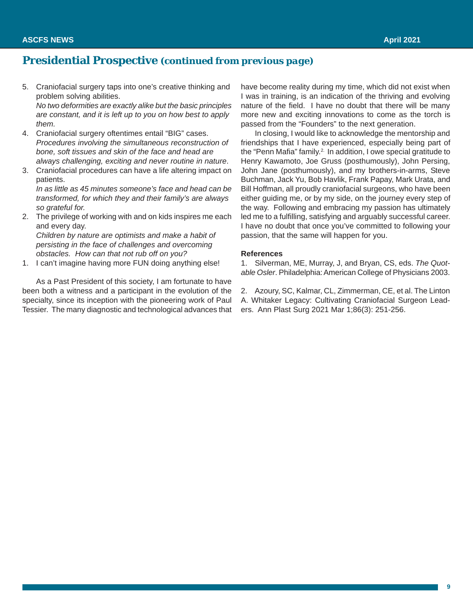### **Presidential Prospective** *(continued from previous page)*

5. Craniofacial surgery taps into one's creative thinking and problem solving abilities. *No two deformities are exactly alike but the basic principles*

*are constant, and it is left up to you on how best to apply them.*

- 4. Craniofacial surgery oftentimes entail "BIG" cases. *Procedures involving the simultaneous reconstruction of bone, soft tissues and skin of the face and head are always challenging, exciting and never routine in nature*.
- 3. Craniofacial procedures can have a life altering impact on patients.

*In as little as 45 minutes someone's face and head can be transformed, for which they and their family's are always so grateful for.*

2. The privilege of working with and on kids inspires me each and every day. *Children by nature are optimists and make a habit of*

*persisting in the face of challenges and overcoming obstacles. How can that not rub off on you?*

1. I can't imagine having more FUN doing anything else!

As a Past President of this society, I am fortunate to have been both a witness and a participant in the evolution of the specialty, since its inception with the pioneering work of Paul Tessier. The many diagnostic and technological advances that

have become reality during my time, which did not exist when I was in training, is an indication of the thriving and evolving nature of the field. I have no doubt that there will be many more new and exciting innovations to come as the torch is passed from the "Founders" to the next generation.

In closing, I would like to acknowledge the mentorship and friendships that I have experienced, especially being part of the "Penn Mafia" family.<sup>2.</sup> In addition, I owe special gratitude to Henry Kawamoto, Joe Gruss (posthumously), John Persing, John Jane (posthumously), and my brothers-in-arms, Steve Buchman, Jack Yu, Bob Havlik, Frank Papay, Mark Urata, and Bill Hoffman, all proudly craniofacial surgeons, who have been either guiding me, or by my side, on the journey every step of the way. Following and embracing my passion has ultimately led me to a fulfilling, satisfying and arguably successful career. I have no doubt that once you've committed to following your passion, that the same will happen for you.

#### **References**

1. Silverman, ME, Murray, J, and Bryan, CS, eds. *The Quotable Osler*. Philadelphia: American College of Physicians 2003.

2. Azoury, SC, Kalmar, CL, Zimmerman, CE, et al. The Linton A. Whitaker Legacy: Cultivating Craniofacial Surgeon Leaders. Ann Plast Surg 2021 Mar 1;86(3): 251-256.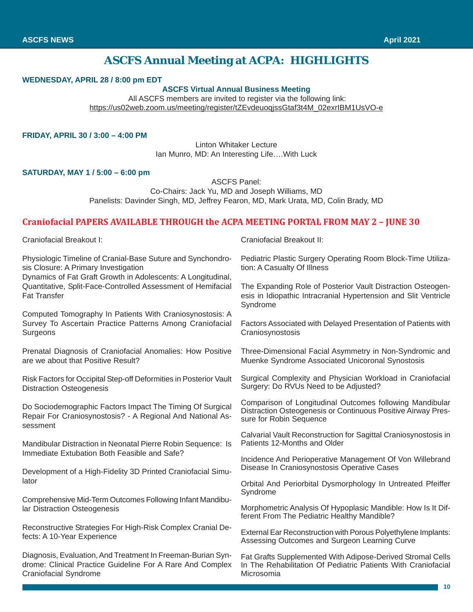### **ASCFS Annual Meeting at ACPA: HIGHLIGHTS**

#### **WEDNESDAY, APRIL 28 / 8:00 pm EDT**

#### **ASCFS Virtual Annual Business Meeting**

 All ASCFS members are invited to register via the following link: https://us02web.zoom.us/meeting/register/tZEvdeuoqjssGtaf3t4M\_02exrIBM1UsVO-e

#### **FRIDAY, APRIL 30 / 3:00 – 4:00 PM**

Linton Whitaker Lecture Ian Munro, MD: An Interesting Life….With Luck

#### **SATURDAY, MAY 1 / 5:00 – 6:00 pm**

ASCFS Panel:

Co-Chairs: Jack Yu, MD and Joseph Williams, MD Panelists: Davinder Singh, MD, Jeffrey Fearon, MD, Mark Urata, MD, Colin Brady, MD

#### **Craniofacial PAPERS AVAILABLE THROUGH the ACPA MEETING PORTAL FROM MAY 2 – JUNE 30**

Craniofacial Breakout I:

Physiologic Timeline of Cranial-Base Suture and Synchondrosis Closure: A Primary Investigation

Dynamics of Fat Graft Growth in Adolescents: A Longitudinal, Quantitative, Split-Face-Controlled Assessment of Hemifacial Fat Transfer

Computed Tomography In Patients With Craniosynostosis: A Survey To Ascertain Practice Patterns Among Craniofacial **Surgeons** 

Prenatal Diagnosis of Craniofacial Anomalies: How Positive are we about that Positive Result?

Risk Factors for Occipital Step-off Deformities in Posterior Vault Distraction Osteogenesis

Do Sociodemographic Factors Impact The Timing Of Surgical Repair For Craniosynostosis? - A Regional And National Assessment

Mandibular Distraction in Neonatal Pierre Robin Sequence: Is Immediate Extubation Both Feasible and Safe?

Development of a High-Fidelity 3D Printed Craniofacial Simulator

Comprehensive Mid-Term Outcomes Following Infant Mandibular Distraction Osteogenesis

Reconstructive Strategies For High-Risk Complex Cranial Defects: A 10-Year Experience

Diagnosis, Evaluation, And Treatment In Freeman-Burian Syndrome: Clinical Practice Guideline For A Rare And Complex Craniofacial Syndrome

Craniofacial Breakout II:

Pediatric Plastic Surgery Operating Room Block-Time Utilization: A Casualty Of Illness

The Expanding Role of Posterior Vault Distraction Osteogenesis in Idiopathic Intracranial Hypertension and Slit Ventricle Syndrome

Factors Associated with Delayed Presentation of Patients with **Craniosynostosis** 

Three-Dimensional Facial Asymmetry in Non-Syndromic and Muenke Syndrome Associated Unicoronal Synostosis

Surgical Complexity and Physician Workload in Craniofacial Surgery: Do RVUs Need to be Adjusted?

Comparison of Longitudinal Outcomes following Mandibular Distraction Osteogenesis or Continuous Positive Airway Pressure for Robin Sequence

Calvarial Vault Reconstruction for Sagittal Craniosynostosis in Patients 12-Months and Older

Incidence And Perioperative Management Of Von Willebrand Disease In Craniosynostosis Operative Cases

Orbital And Periorbital Dysmorphology In Untreated Pfeiffer Syndrome

Morphometric Analysis Of Hypoplasic Mandible: How Is It Different From The Pediatric Healthy Mandible?

External Ear Reconstruction with Porous Polyethylene Implants: Assessing Outcomes and Surgeon Learning Curve

Fat Grafts Supplemented With Adipose-Derived Stromal Cells In The Rehabilitation Of Pediatric Patients With Craniofacial Microsomia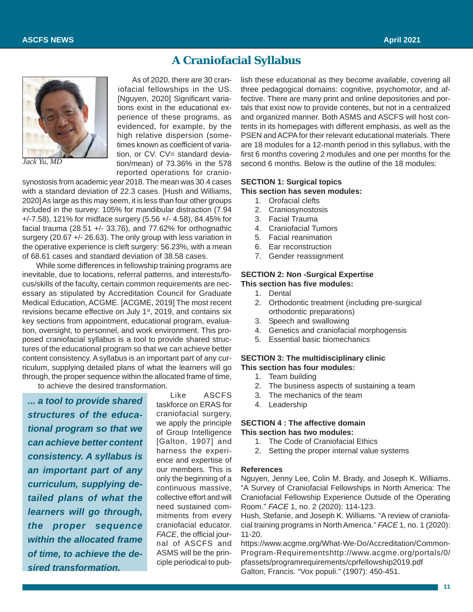### **A Craniofacial Syllabus**



*Jack Yu, MD*

As of 2020, there are 30 craniofacial fellowships in the US. [Nguyen, 2020] Significant variations exist in the educational experience of these programs, as evidenced, for example, by the high relative dispersion (sometimes known as coefficient of variation, or CV. CV= standard deviation/mean) of 73.36% in the 578 reported operations for cranio-

synostosis from academic year 2018. The mean was 30.4 cases with a standard deviation of 22.3 cases. [Hush and Williams, 2020] As large as this may seem, it is less than four other groups included in the survey: 105% for mandibular distraction (7.94 +/-7.58), 121% for midface surgery (5.56 +/- 4.58), 84.45% for facial trauma (28.51  $+/-$  33.76), and 77.62% for orthognathic surgery (20.67 +/- 26.63). The only group with less variation in the operative experience is cleft surgery: 56.23%, with a mean of 68.61 cases and standard deviation of 38.58 cases.

While some differences in fellowship training programs are inevitable, due to locations, referral patterns, and interests/focus/skills of the faculty, certain common requirements are necessary as stipulated by Accreditation Council for Graduate Medical Education, ACGME. [ACGME, 2019] The most recent revisions became effective on July 1<sup>st</sup>, 2019, and contains six key sections from appointment, educational program, evaluation, oversight, to personnel, and work environment. This proposed craniofacial syllabus is a tool to provide shared structures of the educational program so that we can achieve better content consistency. A syllabus is an important part of any curriculum, supplying detailed plans of what the learners will go through, the proper sequence within the allocated frame of time,

to achieve the desired transformation.

*... a tool to provide shared structures of the educational program so that we can achieve better content consistency. A syllabus is an important part of any curriculum, supplying detailed plans of what the learners will go through, the proper sequence within the allocated frame of time, to achieve the desired transformation.*

Like ASCFS taskforce on ERAS for craniofacial surgery, we apply the principle of Group Intelligence [Galton, 1907] and harness the experience and expertise of our members. This is only the beginning of a continuous massive, collective effort and will need sustained commitments from every craniofacial educator. *FACE*, the official journal of ASCFS and ASMS will be the principle periodical to publish these educational as they become available, covering all three pedagogical domains: cognitive, psychomotor, and affective. There are many print and online depositories and portals that exist now to provide contents, but not in a centralized and organized manner. Both ASMS and ASCFS will host contents in its homepages with different emphasis, as well as the PSEN and ACPA for their relevant educational materials. There are 18 modules for a 12-month period in this syllabus, with the first 6 months covering 2 modules and one per months for the second 6 months. Below is the outline of the 18 modules:

#### **SECTION 1: Surgical topics**

**This section has seven modules:**

- 1. Orofacial clefts
- 2. Craniosynostosis
- 3. Facial Trauma
- 4. Craniofacial Tumors
- 5. Facial reanimation
- 6. Ear reconstruction
- 7. Gender reassignment

#### **SECTION 2: Non -Surgical Expertise This section has five modules:**

- 1. Dental
- 2. Orthodontic treatment (including pre-surgical orthodontic preparations)
- 3. Speech and swallowing
- 4. Genetics and craniofacial morphogensis
- 5. Essential basic biomechanics

#### **SECTION 3: The multidisciplinary clinic This section has four modules:**

- 1. Team building
- 2. The business aspects of sustaining a team
- 3. The mechanics of the team
- 4. Leadership

#### **SECTION 4 : The affective domain This section has two modules:**

- 1. The Code of Craniofacial Ethics
- 2. Setting the proper internal value systems

#### **References**

Nguyen, Jenny Lee, Colin M. Brady, and Joseph K. Williams. "A Survey of Craniofacial Fellowships in North America: The Craniofacial Fellowship Experience Outside of the Operating Room." *FACE* 1, no. 2 (2020): 114-123.

Hush, Stefanie, and Joseph K. Williams. "A review of craniofacial training programs in North America." *FACE* 1, no. 1 (2020): 11-20.

https://www.acgme.org/What-We-Do/Accreditation/Common-Program-Requirementshttp://www.acgme.org/portals/0/ pfassets/programrequirements/cprfellowship2019.pdf Galton, Francis. "Vox populi." (1907): 450-451.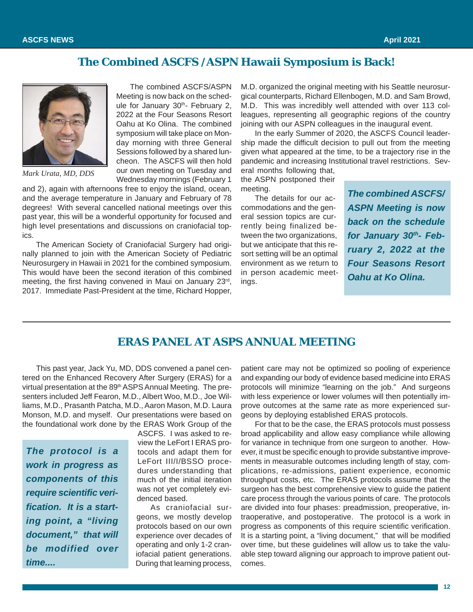## **The Combined ASCFS /ASPN Hawaii Symposium is Back!**



*Mark Urata, MD, DDS*

The combined ASCFS/ASPN Meeting is now back on the schedule for January 30th- February 2, 2022 at the Four Seasons Resort Oahu at Ko Olina. The combined symposium will take place on Monday morning with three General Sessions followed by a shared luncheon. The ASCFS will then hold our own meeting on Tuesday and Wednesday mornings (February 1

and 2), again with afternoons free to enjoy the island, ocean, and the average temperature in January and February of 78 degrees! With several cancelled national meetings over this past year, this will be a wonderful opportunity for focused and high level presentations and discussions on craniofacial topics.

The American Society of Craniofacial Surgery had originally planned to join with the American Society of Pediatric Neurosurgery in Hawaii in 2021 for the combined symposium. This would have been the second iteration of this combined meeting, the first having convened in Maui on January 23rd, 2017. Immediate Past-President at the time, Richard Hopper,

M.D. organized the original meeting with his Seattle neurosurgical counterparts, Richard Ellenbogen, M.D. and Sam Browd, M.D. This was incredibly well attended with over 113 colleagues, representing all geographic regions of the country joining with our ASPN colleagues in the inaugural event.

In the early Summer of 2020, the ASCFS Council leadership made the difficult decision to pull out from the meeting given what appeared at the time, to be a trajectory rise in the pandemic and increasing Institutional travel restrictions. Several months following that,

the ASPN postponed their meeting.

The details for our accommodations and the general session topics are currently being finalized between the two organizations, but we anticipate that this resort setting will be an optimal environment as we return to in person academic meetings.

*The combined ASCFS/ ASPN Meeting is now back on the schedule* for January 30th- Feb*ruary 2, 2022 at the Four Seasons Resort Oahu at Ko Olina.*

### **ERAS PANEL AT ASPS ANNUAL MEETING**

This past year, Jack Yu, MD, DDS convened a panel centered on the Enhanced Recovery After Surgery (ERAS) for a virtual presentation at the 89<sup>th</sup> ASPS Annual Meeting. The presenters included Jeff Fearon, M.D., Albert Woo, M.D., Joe Williams, M.D., Prasanth Patcha, M.D., Aaron Mason, M.D. Laura Monson, M.D. and myself. Our presentations were based on the foundational work done by the ERAS Work Group of the

*The protocol is a work in progress as components of this require scientific verification. It is a starting point, a "living document," that will be modified over time....*

ASCFS. I was asked to review the LeFort I ERAS protocols and adapt them for LeFort III/I/BSSO procedures understanding that much of the initial iteration was not yet completely evidenced based.

As craniofacial surgeons, we mostly develop protocols based on our own experience over decades of operating and only 1-2 craniofacial patient generations. During that learning process,

patient care may not be optimized so pooling of experience and expanding our body of evidence based medicine into ERAS protocols will minimize "learning on the job." And surgeons with less experience or lower volumes will then potentially improve outcomes at the same rate as more experienced surgeons by deploying established ERAS protocols.

For that to be the case, the ERAS protocols must possess broad applicability and allow easy compliance while allowing for variance in technique from one surgeon to another. However, it must be specific enough to provide substantive improvements in measurable outcomes including length of stay, complications, re-admissions, patient experience, economic throughput costs, etc. The ERAS protocols assume that the surgeon has the best comprehensive view to guide the patient care process through the various points of care. The protocols are divided into four phases: preadmission, preoperative, intraoperative, and postoperative. The protocol is a work in progress as components of this require scientific verification. It is a starting point, a "living document," that will be modified over time, but these guidelines will allow us to take the valuable step toward aligning our approach to improve patient outcomes.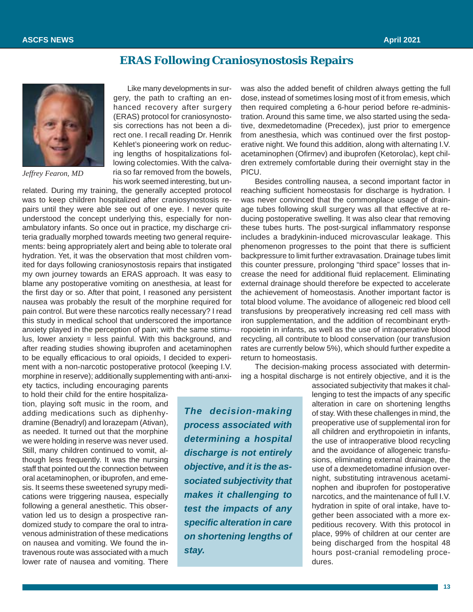### **ERAS Following Craniosynostosis Repairs**



*Jeffrey Fearon, MD*

Like many developments in surgery, the path to crafting an enhanced recovery after surgery (ERAS) protocol for craniosynostosis corrections has not been a direct one. I recall reading Dr. Henrik Kehlet's pioneering work on reducing lengths of hospitalizations following colectomies. With the calvaria so far removed from the bowels, his work seemed interesting, but un-

related. During my training, the generally accepted protocol was to keep children hospitalized after craniosynostosis repairs until they were able see out of one eye. I never quite understood the concept underlying this, especially for nonambulatory infants. So once out in practice, my discharge criteria gradually morphed towards meeting two general requirements: being appropriately alert and being able to tolerate oral hydration. Yet, it was the observation that most children vomited for days following craniosynostosis repairs that instigated my own journey towards an ERAS approach. It was easy to blame any postoperative vomiting on anesthesia, at least for the first day or so. After that point, I reasoned any persistent nausea was probably the result of the morphine required for pain control. But were these narcotics really necessary? I read this study in medical school that underscored the importance anxiety played in the perception of pain; with the same stimulus, lower anxiety = less painful. With this background, and after reading studies showing ibuprofen and acetaminophen to be equally efficacious to oral opioids, I decided to experiment with a non-narcotic postoperative protocol (keeping I.V. morphine in reserve); additionally supplementing with anti-anxi-

ety tactics, including encouraging parents to hold their child for the entire hospitalization, playing soft music in the room, and adding medications such as diphenhydramine (Benadryl) and lorazepam (Ativan), as needed. It turned out that the morphine we were holding in reserve was never used. Still, many children continued to vomit, although less frequently. It was the nursing staff that pointed out the connection between oral acetaminophen, or ibuprofen, and emesis. It seems these sweetened syrupy medications were triggering nausea, especially following a general anesthetic. This observation led us to design a prospective randomized study to compare the oral to intravenous administration of these medications on nausea and vomiting. We found the intravenous route was associated with a much lower rate of nausea and vomiting. There

erative night. We found this addition, along with alternating I.V. acetaminophen (Ofirmev) and ibuprofen (Ketorolac), kept children extremely comfortable during their overnight stay in the PICU. Besides controlling nausea, a second important factor in reaching sufficient homeostasis for discharge is hydration. I was never convinced that the commonplace usage of drainage tubes following skull surgery was all that effective at reducing postoperative swelling. It was also clear that removing these tubes hurts. The post-surgical inflammatory response includes a bradykinin-induced microvascular leakage. This phenomenon progresses to the point that there is sufficient backpressure to limit further extravasation. Drainage tubes limit this counter pressure, prolonging "third space" losses that increase the need for additional fluid replacement. Eliminating external drainage should therefore be expected to accelerate the achievement of homeostasis. Another important factor is total blood volume. The avoidance of allogeneic red blood cell transfusions by preoperatively increasing red cell mass with

was also the added benefit of children always getting the full dose, instead of sometimes losing most of it from emesis, which then required completing a 6-hour period before re-administration. Around this same time, we also started using the sedative, dexmedetomadine (Precedex), just prior to emergence from anesthesia, which was continued over the first postop-

iron supplementation, and the addition of recombinant erythropoietin in infants, as well as the use of intraoperative blood recycling, all contribute to blood conservation (our transfusion rates are currently below 5%), which should further expedite a return to homeostasis.

The decision-making process associated with determining a hospital discharge is not entirely objective, and it is the

*The decision-making process associated with determining a hospital discharge is not entirely objective, and it is the associated subjectivity that makes it challenging to test the impacts of any specific alteration in care on shortening lengths of stay.*

associated subjectivity that makes it challenging to test the impacts of any specific alteration in care on shortening lengths of stay. With these challenges in mind, the preoperative use of supplemental iron for all children and erythropoietin in infants, the use of intraoperative blood recycling and the avoidance of allogeneic transfusions, eliminating external drainage, the use of a dexmedetomadine infusion overnight, substituting intravenous acetaminophen and ibuprofen for postoperative narcotics, and the maintenance of full I.V. hydration in spite of oral intake, have together been associated with a more expeditious recovery. With this protocol in place, 99% of children at our center are being discharged from the hospital 48 hours post-cranial remodeling procedures.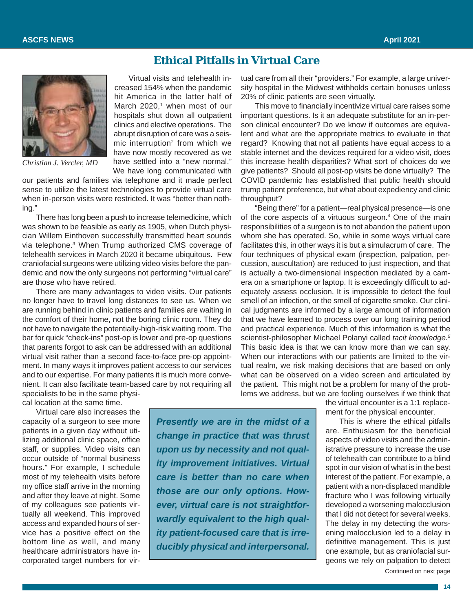### **Ethical Pitfalls in Virtual Care**



*Christian J. Vercler, MD*

Virtual visits and telehealth increased 154% when the pandemic hit America in the latter half of March  $2020<sub>1</sub><sup>1</sup>$  when most of our hospitals shut down all outpatient clinics and elective operations. The abrupt disruption of care was a seismic interruption<sup>2</sup> from which we have now mostly recovered as we have settled into a "new normal." We have long communicated with

our patients and families via telephone and it made perfect sense to utilize the latest technologies to provide virtual care when in-person visits were restricted. It was "better than nothing."

There has long been a push to increase telemedicine, which was shown to be feasible as early as 1905, when Dutch physician Willem Einthoven successfully transmitted heart sounds via telephone.3 When Trump authorized CMS coverage of telehealth services in March 2020 it became ubiquitous. Few craniofacial surgeons were utilizing video visits before the pandemic and now the only surgeons not performing "virtual care" are those who have retired.

There are many advantages to video visits. Our patients no longer have to travel long distances to see us. When we are running behind in clinic patients and families are waiting in the comfort of their home, not the boring clinic room. They do not have to navigate the potentially-high-risk waiting room. The bar for quick "check-ins" post-op is lower and pre-op questions that parents forgot to ask can be addressed with an additional virtual visit rather than a second face-to-face pre-op appointment. In many ways it improves patient access to our services and to our expertise. For many patients it is much more convenient. It can also facilitate team-based care by not requiring all specialists to be in the same physi-

cal location at the same time.

Virtual care also increases the capacity of a surgeon to see more patients in a given day without utilizing additional clinic space, office staff, or supplies. Video visits can occur outside of "normal business hours." For example, I schedule most of my telehealth visits before my office staff arrive in the morning and after they leave at night. Some of my colleagues see patients virtually all weekend. This improved access and expanded hours of service has a positive effect on the bottom line as well, and many healthcare administrators have incorporated target numbers for vir-

*Presently we are in the midst of a change in practice that was thrust upon us by necessity and not quality improvement initiatives. Virtual care is better than no care when those are our only options. However, virtual care is not straightforwardly equivalent to the high quality patient-focused care that is irreducibly physical and interpersonal.*

tual care from all their "providers." For example, a large university hospital in the Midwest withholds certain bonuses unless 20% of clinic patients are seen virtually.

This move to financially incentivize virtual care raises some important questions. Is it an adequate substitute for an in-person clinical encounter? Do we know if outcomes are equivalent and what are the appropriate metrics to evaluate in that regard? Knowing that not all patients have equal access to a stable internet and the devices required for a video visit, does this increase health disparities? What sort of choices do we give patients? Should all post-op visits be done virtually? The COVID pandemic has established that public health should trump patient preference, but what about expediency and clinic throughput?

"Being there" for a patient—real physical presence—is one of the core aspects of a virtuous surgeon.<sup>4</sup> One of the main responsibilities of a surgeon is to not abandon the patient upon whom she has operated. So, while in some ways virtual care facilitates this, in other ways it is but a simulacrum of care. The four techniques of physical exam (inspection, palpation, percussion, auscultation) are reduced to just inspection, and that is actually a two-dimensional inspection mediated by a camera on a smartphone or laptop. It is exceedingly difficult to adequately assess occlusion. It is impossible to detect the foul smell of an infection, or the smell of cigarette smoke. Our clinical judgments are informed by a large amount of information that we have learned to process over our long training period and practical experience. Much of this information is what the scientist-philosopher Michael Polanyi called *tacit knowledge.5* This basic idea is that we can know more than we can say. When our interactions with our patients are limited to the virtual realm, we risk making decisions that are based on only what can be observed on a video screen and articulated by the patient. This might not be a problem for many of the problems we address, but we are fooling ourselves if we think that

> the virtual encounter is a 1:1 replacement for the physical encounter.

> Continued on next page This is where the ethical pitfalls are. Enthusiasm for the beneficial aspects of video visits and the administrative pressure to increase the use of telehealth can contribute to a blind spot in our vision of what is in the best interest of the patient. For example, a patient with a non-displaced mandible fracture who I was following virtually developed a worsening malocclusion that I did not detect for several weeks. The delay in my detecting the worsening malocclusion led to a delay in definitive management. This is just one example, but as craniofacial surgeons we rely on palpation to detect